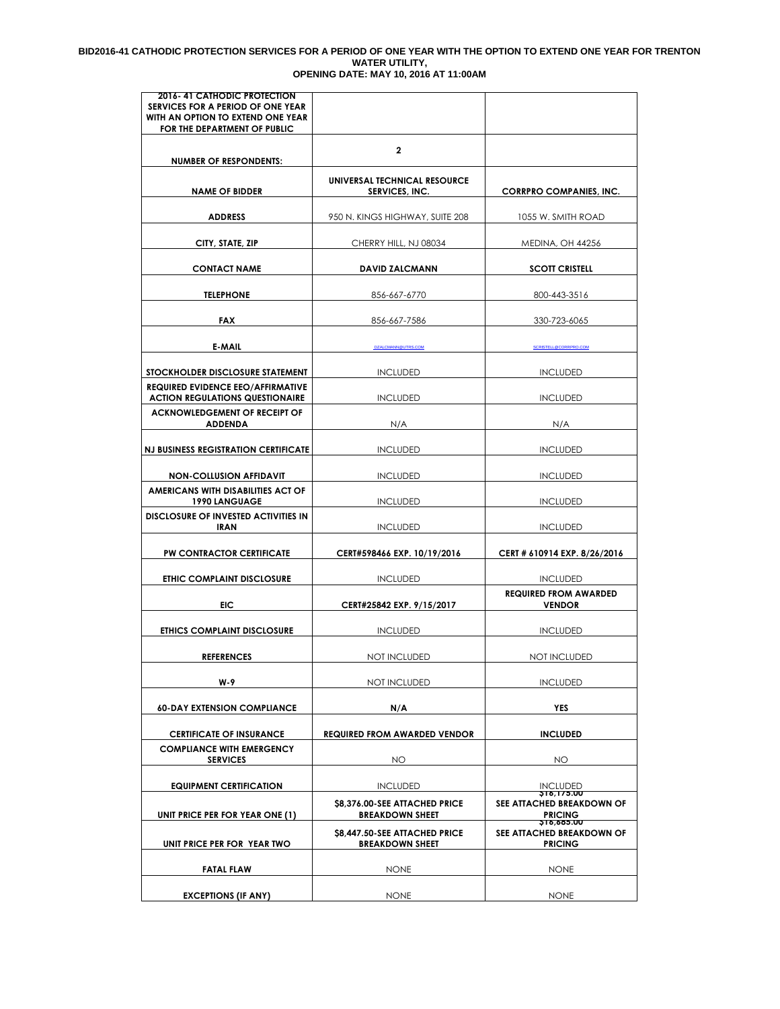#### **BID2016-41 CATHODIC PROTECTION SERVICES FOR A PERIOD OF ONE YEAR WITH THE OPTION TO EXTEND ONE YEAR FOR TRENTON WATER UTILITY, OPENING DATE: MAY 10, 2016 AT 11:00AM**

| 2016 - 41 CATHODIC PROTECTION<br>SERVICES FOR A PERIOD OF ONE YEAR<br>WITH AN OPTION TO EXTEND ONE YEAR<br>FOR THE DEPARTMENT OF PUBLIC |                                                                |                                                           |
|-----------------------------------------------------------------------------------------------------------------------------------------|----------------------------------------------------------------|-----------------------------------------------------------|
| <b>NUMBER OF RESPONDENTS:</b>                                                                                                           | $\overline{2}$                                                 |                                                           |
| <b>NAME OF BIDDER</b>                                                                                                                   | UNIVERSAL TECHNICAL RESOURCE<br><b>SERVICES, INC.</b>          | <b>CORRPRO COMPANIES, INC.</b>                            |
| <b>ADDRESS</b>                                                                                                                          | 950 N. KINGS HIGHWAY, SUITE 208                                | 1055 W. SMITH ROAD                                        |
| CITY, STATE, ZIP                                                                                                                        | CHERRY HILL, NJ 08034                                          | MEDINA, OH 44256                                          |
| <b>CONTACT NAME</b>                                                                                                                     | <b>DAVID ZALCMANN</b>                                          | <b>SCOTT CRISTELL</b>                                     |
| <b>TELEPHONE</b>                                                                                                                        | 856-667-6770                                                   | 800-443-3516                                              |
| <b>FAX</b>                                                                                                                              | 856-667-7586                                                   | 330-723-6065                                              |
| <b>E-MAIL</b>                                                                                                                           | <b>DZALCMANN@UTRS.COM</b>                                      | SCRISTELL@CORRPRO.COM                                     |
| STOCKHOLDER DISCLOSURE STATEMENT                                                                                                        | <b>INCLUDED</b>                                                | <b>INCLUDED</b>                                           |
| <b>REQUIRED EVIDENCE EEO/AFFIRMATIVE</b><br><b>ACTION REGULATIONS QUESTIONAIRE</b>                                                      | <b>INCLUDED</b>                                                | <b>INCLUDED</b>                                           |
| <b>ACKNOWLEDGEMENT OF RECEIPT OF</b><br>ADDENDA                                                                                         | N/A                                                            | N/A                                                       |
| <b>NJ BUSINESS REGISTRATION CERTIFICATE</b>                                                                                             | <b>INCLUDED</b>                                                | <b>INCLUDED</b>                                           |
| NON-COLLUSION AFFIDAVIT                                                                                                                 | <b>INCLUDED</b>                                                | <b>INCLUDED</b>                                           |
| AMERICANS WITH DISABILITIES ACT OF<br><b>1990 LANGUAGE</b>                                                                              | <b>INCLUDED</b>                                                | <b>INCLUDED</b>                                           |
| DISCLOSURE OF INVESTED ACTIVITIES IN<br>IRAN                                                                                            | <b>INCLUDED</b>                                                | <b>INCLUDED</b>                                           |
| <b>PW CONTRACTOR CERTIFICATE</b>                                                                                                        | CERT#598466 EXP. 10/19/2016                                    | CERT # 610914 EXP. 8/26/2016                              |
| ETHIC COMPLAINT DISCLOSURE                                                                                                              | <b>INCLUDED</b>                                                | <b>INCLUDED</b>                                           |
| EIC                                                                                                                                     | CERT#25842 EXP. 9/15/2017                                      | <b>REQUIRED FROM AWARDED</b><br><b>VENDOR</b>             |
| ETHICS COMPLAINT DISCLOSURE                                                                                                             | <b>INCLUDED</b>                                                | <b>INCLUDED</b>                                           |
| <b>REFERENCES</b>                                                                                                                       | NOT INCLUDED                                                   | NOT INCLUDED                                              |
| W-9                                                                                                                                     | NOT INCLUDED                                                   | <b>INCLUDED</b>                                           |
| <b>60-DAY EXTENSION COMPLIANCE</b>                                                                                                      | N/A                                                            | <b>YES</b>                                                |
| <b>CERTIFICATE OF INSURANCE</b>                                                                                                         | <b>REQUIRED FROM AWARDED VENDOR</b>                            | <b>INCLUDED</b>                                           |
| <b>COMPLIANCE WITH EMERGENCY</b><br><b>SERVICES</b>                                                                                     | NO                                                             | NO                                                        |
| <b>EQUIPMENT CERTIFICATION</b>                                                                                                          | <b>INCLUDED</b>                                                | <b>INCLUDED</b><br>516,175.00                             |
| UNIT PRICE PER FOR YEAR ONE (1)                                                                                                         | <b>\$8,376,00-SEE ATTACHED PRICE</b><br><b>BREAKDOWN SHEET</b> | SEE ATTACHED BREAKDOWN OF<br><b>PRICING</b><br>510,005.00 |
| UNIT PRICE PER FOR YEAR TWO                                                                                                             | \$8,447.50-SEE ATTACHED PRICE<br><b>BREAKDOWN SHEET</b>        | SEE ATTACHED BREAKDOWN OF<br><b>PRICING</b>               |
| <b>FATAL FLAW</b>                                                                                                                       | <b>NONE</b>                                                    | <b>NONE</b>                                               |
| <b>EXCEPTIONS (IF ANY)</b>                                                                                                              | <b>NONE</b>                                                    | <b>NONE</b>                                               |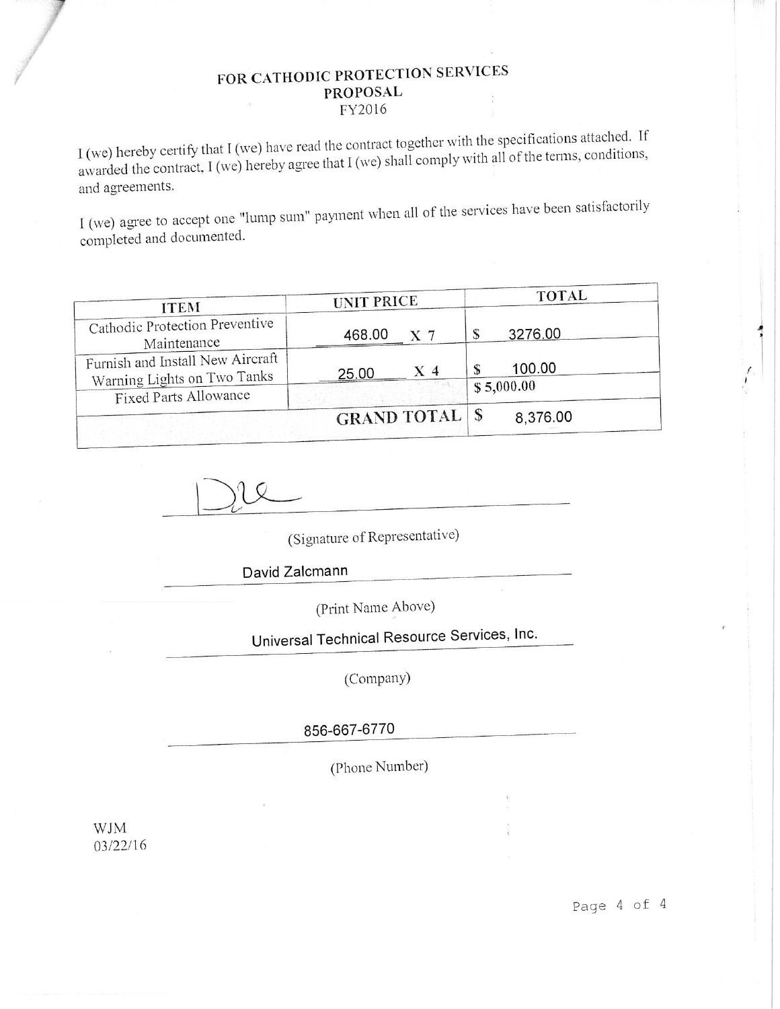## FOR CATHODIC PROTECTION SERVICES PROPOSAL FY2016

I (we) hereby certify that I (we) have read the contract together with the specifications attached. If awarded the contract, I (we) hereby agree that I (we) shall comply with all of the terms, conditions, and agreements.

I (we) agree to accept one "lump sum" payment when all of the services have been satisfactorily completed and documented.

| <b>ITEM</b>                                                     | UNIT PRICE               | <b>TOTAL</b> |
|-----------------------------------------------------------------|--------------------------|--------------|
| Cathodic Protection Preventive<br>Maintenance                   | 468.00<br>X <sub>7</sub> | 3276.00      |
| Furnish and Install New Aircraft<br>Warning Lights on Two Tanks | $X_4$<br>25.00           | 100.00       |
| Fixed Parts Allowance                                           |                          | \$5,000.00   |
|                                                                 | <b>GRAND TOTAL S</b>     | 8,376.00     |

(Signature of Representative)

### David Zalcmann

(Print Name Above)

Universal Technical Resource Services, Inc.

(Company)

### 856-667-6770

(Phone Number)

**WJM** 03/22/16

Page 4 of 4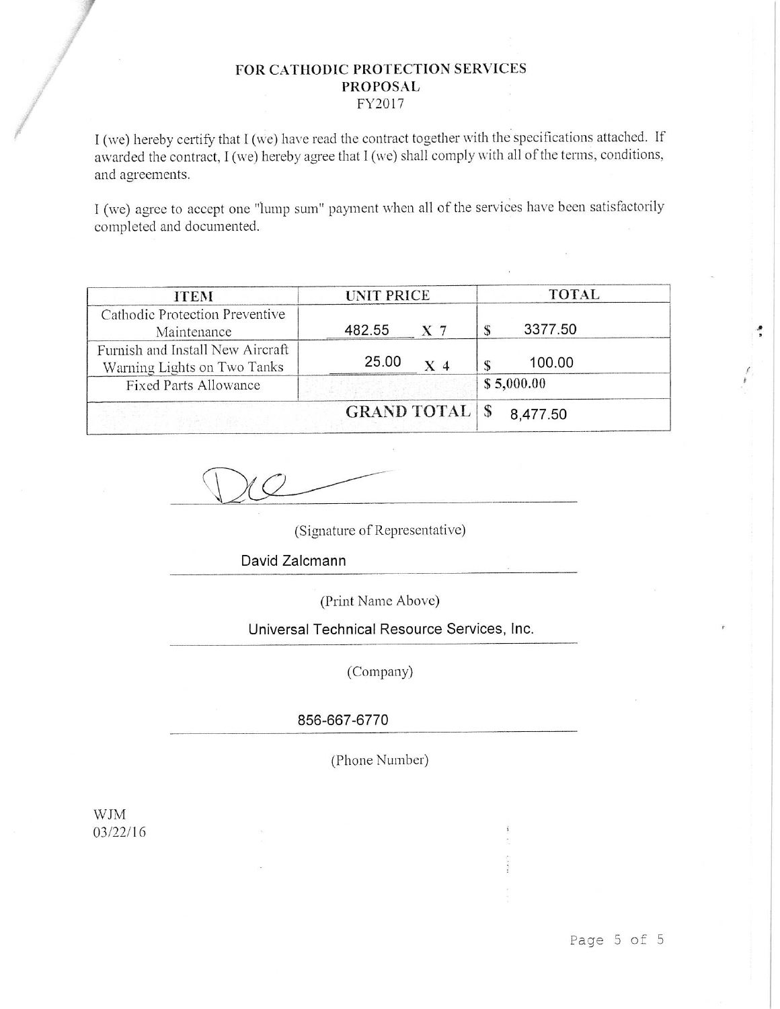# FOR CATHODIC PROTECTION SERVICES **PROPOSAL**

FY2017

I (we) hereby certify that I (we) have read the contract together with the specifications attached. If awarded the contract, I (we) hereby agree that I (we) shall comply with all of the terms, conditions, and agreements.

I (we) agree to accept one "lump sum" payment when all of the services have been satisfactorily completed and documented.

| <b>ITEM</b>                                                     | <b>UNIT PRICE</b>       |                | <b>TOTAL</b> |
|-----------------------------------------------------------------|-------------------------|----------------|--------------|
| Cathodic Protection Preventive<br>Maintenance                   | 482.55                  | X <sub>7</sub> | 3377.50      |
| Furnish and Install New Aircraft<br>Warning Lights on Two Tanks | 25.00                   | $\mathbf{Y}$ 4 | 100.00       |
| <b>Fixed Parts Allowance</b>                                    |                         |                | \$5,000.00   |
|                                                                 | <b>GRAND TOTAL   \$</b> |                | 8,477.50     |

(Signature of Representative)

### David Zalcmann

(Print Name Above)

Universal Technical Resource Services, Inc.

(Company)

### 856-667-6770

(Phone Number)

**WJM**  $03/22/16$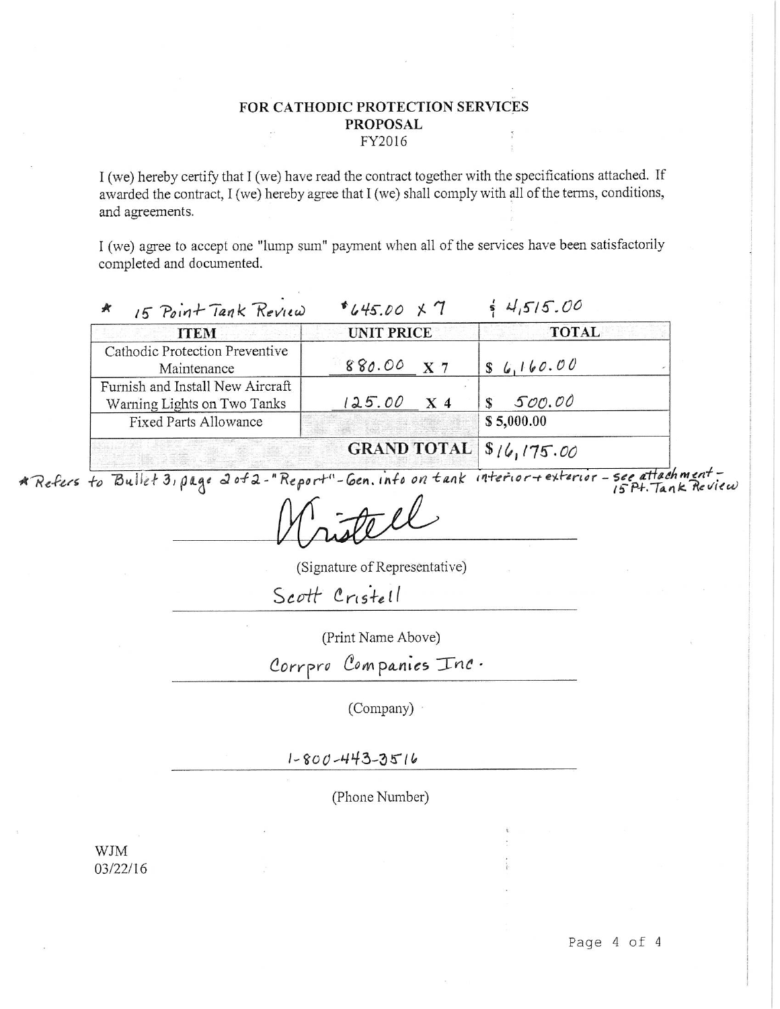### FOR CATHODIC PROTECTION SERVICES **PROPOSAL** FY2016

I (we) hereby certify that I (we) have read the contract together with the specifications attached. If awarded the contract, I (we) hereby agree that I (we) shall comply with all of the terms, conditions, and agreements.

I (we) agree to accept one "lump sum" payment when all of the services have been satisfactorily completed and documented.

| <b>ITEM</b>                                                     | <b>UNIT PRICE</b>          | <b>TOTAL</b> |
|-----------------------------------------------------------------|----------------------------|--------------|
| Cathodic Protection Preventive<br>Maintenance                   | 880.00<br>X <sub>7</sub>   | S(6,160.00)  |
| Furnish and Install New Aircraft<br>Warning Lights on Two Tanks | 125.00<br>$X_4$            | 500.00       |
| <b>Fixed Parts Allowance</b>                                    |                            | \$5,000.00   |
|                                                                 | GRAND TOTAL \\$\l\,\175.00 |              |

\* Refers to Bullet 3, page 2 of 2-" Report"-Gen. info on tank interior-exterior - see attachment-

 $\frac{1}{2}$ 

(Signature of Representative)

Scott Cristell

(Print Name Above)

Corrpro Companies Inc.

(Company)

 $1 - 800 - 443 - 3516$ 

(Phone Number)

**WJM** 03/22/16